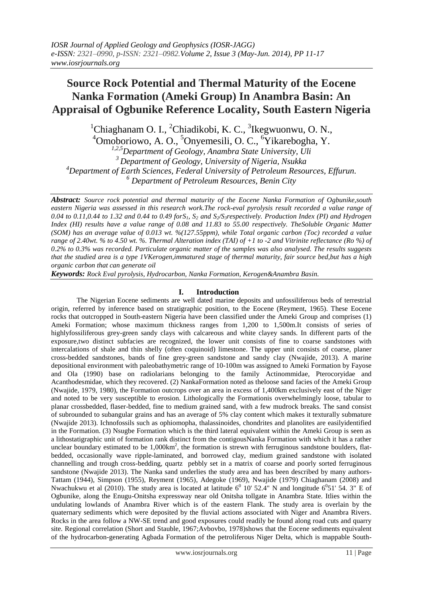# **Source Rock Potential and Thermal Maturity of the Eocene Nanka Formation (Ameki Group) In Anambra Basin: An Appraisal of Ogbunike Reference Locality, South Eastern Nigeria**

 ${}^{1}$ Chiaghanam O. I., <sup>2</sup>Chiadikobi, K. C., <sup>3</sup>Ikegwuonwu, O. N.,

<sup>4</sup>Omoboriowo, A. O., <sup>5</sup>Onyemesili, O. C., <sup>6</sup>Yikarebogha, Y.

*1,2,5Department of Geology, Anambra State University, Uli Department of Geology, University of Nigeria, Nsukka Department of Earth Sciences, Federal University of Petroleum Resources, Effurun. Department of Petroleum Resources, Benin City*

*Abstract: Source rock potential and thermal maturity of the Eocene Nanka Formation of Ogbunike,south eastern Nigeria was assessed in this research work.The rock-eval pyrolysis result recorded a value range of 0.04 to 0.11,0.44 to 1.32 and 0.44 to 0.49 forS1, S<sup>2</sup> and S2/S3respectively. Production Index (PI) and Hydrogen Index (HI) results have a value range of 0.08 and 11.83 to 55.00 respectively. TheSoluble Organic Matter (SOM) has an average value of 0.013 wt. %(127.55ppm), while Total organic carbon (Toc) recorded a value range of 2.40wt. % to 4.50 wt. %. Thermal Alteration index (TAI) of +1 to -2 and Vitrinite reflectance (Ro %) of 0.2% to 0.3% was recorded. Particulate organic matter of the samples was also analysed. The results suggests that the studied area is a type 1VKerogen,immatured stage of thermal maturity, fair source bed,but has a high organic carbon that can generate oil*

*Keywords: Rock Eval pyrolysis, Hydrocarbon, Nanka Formation, Kerogen&Anambra Basin.*

## **I. Introduction**

The Nigerian Eocene sediments are well dated marine deposits and unfossiliferous beds of terrestrial origin, referred by inference based on stratigraphic position, to the Eocene (Reyment, 1965). These Eocene rocks that outcropped in South-eastern Nigeria have been classified under the Ameki Group and comprises (1) Ameki Formation; whose maximum thickness ranges from 1,200 to 1,500m.It consists of series of highlyfossiliferous grey-green sandy clays with calcareous and white clayey sands. In different parts of the exposure,two distinct subfacies are recognized, the lower unit consists of fine to coarse sandstones with intercalations of shale and thin shelly (often coquinoid) limestone. The upper unit consists of coarse, planer cross-bedded sandstones, bands of fine grey-green sandstone and sandy clay (Nwajide, 2013). A marine depositional environment with paleobathymetric range of 10-100m was assigned to Ameki Formation by Fayose and Ola (1990) base on radiolarians belonging to the family Actinommidae, Pterocoryidae and Acanthodesmidae, which they recovered. (2) NankaFormation noted as theloose sand facies of the Ameki Group (Nwajide, 1979, 1980), the Formation outcrops over an area in excess of 1,400km exclusively east of the Niger and noted to be very susceptible to erosion. Lithologically the Formationis overwhelmingly loose, tabular to planar crossbedded, flaser-bedded, fine to medium grained sand, with a few mudrock breaks. The sand consist of subrounded to subangular grains and has an average of 5% clay content which makes it texturally submature (Nwajide 2013). Ichnofossils such as ophiomopha, thalassinoides, chondrites and planolites are easilyidentified in the Formation. (3) Nsugbe Formation which is the third lateral equivalent within the Ameki Group is seen as a lithostatigraphic unit of formation rank distinct from the contigousNanka Formation with which it has a rather unclear boundary estimated to be  $1,000 \text{km}^2$ , the formation is strewn with ferruginous sandstone boulders, flatbedded, occasionally wave ripple-laminated, and borrowed clay, medium grained sandstone with isolated channelling and trough cross-bedding, quartz pebbly set in a matrix of coarse and poorly sorted ferruginous sandstone (Nwajide 2013). The Nanka sand underlies the study area and has been described by many authors-Tattam (1944), Simpson (1955), Reyment (1965), Adegoke (1969), Nwajide (1979) Chiaghanam (2008) and Nwachukwu et al (2010). The study area is located at latitude  $6^0$  10' 52.4" N and longitude  $6^0$ 51' 54. 3" E of Ogbunike, along the Enugu-Onitsha expressway near old Onitsha tollgate in Anambra State. Itlies within the undulating lowlands of Anambra River which is of the eastern Flank. The study area is overlain by the quaternary sediments which were deposited by the fluvial actions associated with Niger and Anambra Rivers. Rocks in the area follow a NW-SE trend and good exposures could readily be found along road cuts and quarry site. Regional correlation (Short and Stauble, 1967;Avbovbo, 1978)shows that the Eocene sediments equivalent of the hydrocarbon-generating Agbada Formation of the petroliferous Niger Delta, which is mappable South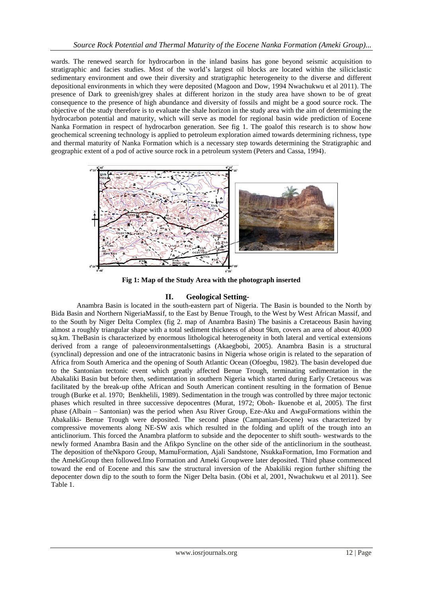wards. The renewed search for hydrocarbon in the inland basins has gone beyond seismic acquisition to stratigraphic and facies studies. Most of the world's largest oil blocks are located within the siliciclastic sedimentary environment and owe their diversity and stratigraphic heterogeneity to the diverse and different depositional environments in which they were deposited (Magoon and Dow, 1994 Nwachukwu et al 2011). The presence of Dark to greenish/grey shales at different horizon in the study area have shown to be of great consequence to the presence of high abundance and diversity of fossils and might be a good source rock. The objective of the study therefore is to evaluate the shale horizon in the study area with the aim of determining the hydrocarbon potential and maturity, which will serve as model for regional basin wide prediction of Eocene Nanka Formation in respect of hydrocarbon generation. See fig 1. The goalof this research is to show how geochemical screening technology is applied to petroleum exploration aimed towards determining richness, type and thermal maturity of Nanka Formation which is a necessary step towards determining the Stratigraphic and geographic extent of a pod of active source rock in a petroleum system (Peters and Cassa, 1994).



**Fig 1: Map of the Study Area with the photograph inserted**

#### **II. Geological Setting-**

Anambra Basin is located in the south-eastern part of Nigeria. The Basin is bounded to the North by Bida Basin and Northern NigeriaMassif, to the East by Benue Trough, to the West by West African Massif, and to the South by Niger Delta Complex (fig 2. map of Anambra Basin) The basinis a Cretaceous Basin having almost a roughly triangular shape with a total sediment thickness of about 9km, covers an area of about 40,000 sq.km. TheBasin is characterized by enormous lithological heterogeneity in both lateral and vertical extensions derived from a range of paleoenvironmentalsettings (Akaegbobi, 2005). Anambra Basin is a structural (synclinal) depression and one of the intracratonic basins in Nigeria whose origin is related to the separation of Africa from South America and the opening of South Atlantic Ocean (Ofoegbu, 1982). The basin developed due to the Santonian tectonic event which greatly affected Benue Trough, terminating sedimentation in the Abakaliki Basin but before then, sedimentation in southern Nigeria which started during Early Cretaceous was facilitated by the break-up ofthe African and South American continent resulting in the formation of Benue trough (Burke et al. 1970; Benkhelili, 1989). Sedimentation in the trough was controlled by three major tectonic phases which resulted in three successive depocentres (Murat, 1972; Oboh- Ikuenobe et al, 2005). The first phase (Albain – Santonian) was the period when Asu River Group, Eze-Aku and AwguFormations within the Abakaliki- Benue Trough were deposited. The second phase (Campanian-Eocene) was characterized by compressive movements along NE-SW axis which resulted in the folding and uplift of the trough into an anticlinorium. This forced the Anambra platform to subside and the depocenter to shift south- westwards to the newly formed Anambra Basin and the Afikpo Syncline on the other side of the anticlinorium in the southeast. The deposition of theNkporo Group, MamuFormation, Ajali Sandstone, NsukkaFormation, Imo Formation and the AmekiGroup then followed.Imo Formation and Ameki Groupwere later deposited. Third phase commenced toward the end of Eocene and this saw the structural inversion of the Abakiliki region further shifting the depocenter down dip to the south to form the Niger Delta basin. (Obi et al, 2001, Nwachukwu et al 2011). See Table 1.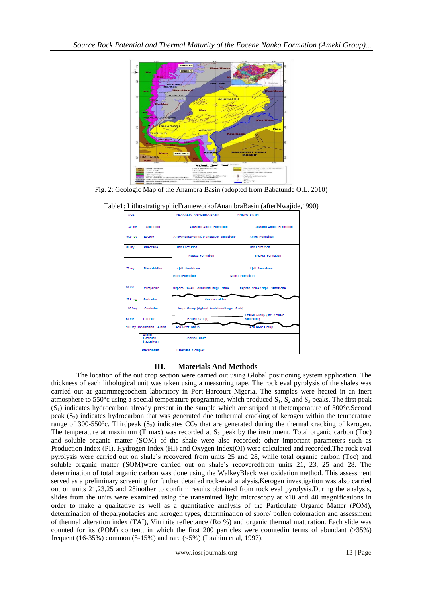

Fig. 2: Geologic Map of the Anambra Basin (adopted from Babatunde O.L. 2010)

| <b>AGE</b>                |                                   | ABAKALIKI-ANAMBRA BASIN                  | AFIKPO BASIN                             |  |  |  |
|---------------------------|-----------------------------------|------------------------------------------|------------------------------------------|--|--|--|
| 30 mv                     | Oligocana                         | Ogwashi-Asaba Formation                  | Ogwashi-Asaba Formation                  |  |  |  |
| 54.9 my                   | Eocene                            | Amekl/NankaFormation/Neugbe Sandstone    | Amekl Formation                          |  |  |  |
| 60 my                     | Paleocen e                        | Imo Formation                            | Imo Formation                            |  |  |  |
|                           |                                   | <b>Naukka Formation</b>                  | Naukka Formation                         |  |  |  |
| 73 my                     | <b>Maastrichtian</b>              | Ajaill Sandstone                         | Ajaill Sandstone                         |  |  |  |
|                           |                                   | Mamu Formation<br>Mamu Formation         |                                          |  |  |  |
| 83 my                     | Campanian                         | Nkporo/ Owelli Formation/Enugu Shale     | Nigoro Shale/Afikpo Sandstone            |  |  |  |
| 87.5 COV                  | Santonian                         | Non-deposition                           |                                          |  |  |  |
| 88.5mv                    | Contactan                         | Awgu Group (Agbani Sandstone/Awgu Shale) |                                          |  |  |  |
| 93 mv                     | Turonlan                          | Ezeaku Group)                            | Ezeaku Group (Incl Amaser)<br>Sandstone) |  |  |  |
| 100 my Cenomanian- Albian |                                   | Asu River Group                          | <b>ABU River Group</b>                   |  |  |  |
|                           | Aptian<br>Baremlan<br>Hauterivian | <b>Unamed Units</b>                      |                                          |  |  |  |
| Precambrian               |                                   | Basement Complex                         |                                          |  |  |  |

Table1: LithostratigraphicFrameworkofAnambraBasin (afterNwajide,1990)

## **III. Materials And Methods**

The location of the out crop section were carried out using Global positioning system application. The thickness of each lithological unit was taken using a measuring tape. The rock eval pyrolysis of the shales was carried out at gatammegeochem laboratory in Port-Harcourt Nigeria. The samples were heated in an inert atmosphere to 550°c using a special temperature programme, which produced  $S_1$ ,  $S_2$  and  $S_3$  peaks. The first peak  $(S_1)$  indicates hydrocarbon already present in the sample which are striped at the temperature of 300 $^{\circ}$ c.Second peak  $(S_2)$  indicates hydrocarbon that was generated due tothermal cracking of kerogen within the temperature range of 300-550°c. Thirdpeak  $(S_3)$  indicates CO<sub>2</sub> that are generated during the thermal cracking of kerogen. The temperature at maximum (T max) was recorded at  $S<sub>2</sub>$  peak by the instrument. Total organic carbon (Toc) and soluble organic matter (SOM) of the shale were also recorded; other important parameters such as Production Index (PI), Hydrogen Index (HI) and Oxygen Index(OI) were calculated and recorded.The rock eval pyrolysis were carried out on shale's recovered from units 25 and 28, while total organic carbon (Toc) and soluble organic matter (SOM)were carried out on shale's recoveredfrom units 21, 23, 25 and 28. The determination of total organic carbon was done using the WalkeyBlack wet oxidation method. This assessment served as a preliminary screening for further detailed rock-eval analysis.Kerogen investigation was also carried out on units 21,23,25 and 28inother to confirm results obtained from rock eval pyrolysis.During the analysis, slides from the units were examined using the transmitted light microscopy at x10 and 40 magnifications in order to make a qualitative as well as a quantitative analysis of the Particulate Organic Matter (POM), determination of thepalynofacies and kerogen types, determination of spore/ pollen colouration and assessment of thermal alteration index (TAI), Vitrinite reflectance (Ro %) and organic thermal maturation. Each slide was counted for its (POM) content, in which the first 200 particles were countedin terms of abundant (>35%) frequent (16-35%) common (5-15%) and rare (<5%) (Ibrahim et al, 1997).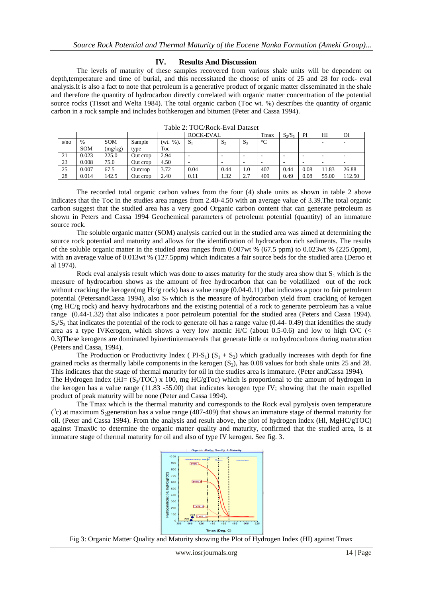#### **IV. Results And Discussion**

The levels of maturity of these samples recovered from various shale units will be dependent on depth,temperature and time of burial, and this necessitated the choose of units of 25 and 28 for rock- eval analysis.It is also a fact to note that petroleum is a generative product of organic matter disseminated in the shale and therefore the quantity of hydrocarbon directly correlated with organic matter concentration of the potential source rocks (Tissot and Welta 1984). The total organic carbon (Toc wt. %) describes the quantity of organic carbon in a rock sample and includes bothkerogen and bitumen (Peter and Cassa 1994).

|      |            |         |          |                | <b>ROCK-EVAL</b> |       | Tmax           | $S_2/S_3$       | PI   | HI                       | OI    |       |
|------|------------|---------|----------|----------------|------------------|-------|----------------|-----------------|------|--------------------------|-------|-------|
| s/no | $\%$       | SOM     | Sample   | $%$ ).<br>'wt. | S.               | $S_2$ | S <sub>3</sub> | $\rm ^{\circ}C$ |      |                          | ۰     | . .   |
|      | <b>SOM</b> | (mg/kg) | type     | Toc            |                  |       |                |                 |      |                          |       |       |
| 21   | 0.023      | 225.0   | Out crop | 2.94           | ۰                |       |                |                 |      | $\overline{\phantom{a}}$ | -     | . .   |
| 23   | 0.008      | 75.0    | Out crop | 4.50           | ۰                | -     |                |                 |      | $\overline{\phantom{a}}$ | -     | . .   |
| 25   | 0.007      | 67.5    | Outcrop  | 3.72           | 0.04             | 0.44  | 1.0            | 407             | 0.44 | 0.08                     | 11.83 | 26.88 |
| 28   | 0.014      | 142.5   | Out crop | 2.40           | 0.11             | 1.32  | 2.7            | 409             | 0.49 | 0.08                     | 55.00 | 12.50 |

Table 2: TOC/Rock-Eval Dataset

The recorded total organic carbon values from the four (4) shale units as shown in table 2 above indicates that the Toc in the studies area ranges from 2.40-4.50 with an average value of 3.39.The total organic carbon suggest that the studied area has a very good Organic carbon content that can generate petroleum as shown in Peters and Cassa 1994 Geochemical parameters of petroleum potential (quantity) of an immature source rock.

The soluble organic matter (SOM) analysis carried out in the studied area was aimed at determining the source rock potential and maturity and allows for the identification of hydrocarbon rich sediments. The results of the soluble organic matter in the studied area ranges from 0.007wt % (67.5 ppm) to 0.023wt % (225.0ppm), with an average value of 0.013wt % (127.5ppm) which indicates a fair source beds for the studied area (Deroo et al 1974).

Rock eval analysis result which was done to asses maturity for the study area show that  $S_1$  which is the measure of hydrocarbon shows as the amount of free hydrocarbon that can be volatilized out of the rock without cracking the kerogen(mg Hc/g rock) has a value range (0.04-0.11) that indicates a poor to fair petroleum potential (PetersandCassa 1994), also  $S_2$  which is the measure of hydrocarbon yield from cracking of kerogen (mg HC/g rock) and heavy hydrocarbons and the existing potential of a rock to generate petroleum has a value range (0.44-1.32) that also indicates a poor petroleum potential for the studied area (Peters and Cassa 1994).  $S_2/S_3$  that indicates the potential of the rock to generate oil has a range value (0.44- 0.49) that identifies the study area as a type IVKerogen, which shows a very low atomic H/C (about 0.5-0.6) and low to high O/C ( $\lt$ 0.3)These kerogens are dominated byinertinitemacerals that generate little or no hydrocarbons during maturation (Peters and Cassa, 1994).

The Production or Productivity Index ( $PI-S_1$ )  $(S_1 + S_2)$  which gradually increases with depth for fine grained rocks as thermally labile components in the kerogen  $(S_2)$ , has 0.08 values for both shale units 25 and 28. This indicates that the stage of thermal maturity for oil in the studies area is immature. (Peter andCassa 1994). The Hydrogen Index (HI=  $(S_2/TOC)$  x 100, mg HC/gToc) which is proportional to the amount of hydrogen in

the kerogen has a value range (11.83 -55.00) that indicates kerogen type IV; showing that the main expelled product of peak maturity will be none (Peter and Cassa 1994).

The Tmax which is the thermal maturity and corresponds to the Rock eval pyrolysis oven temperature  $(°c)$  at maximum S<sub>2</sub>generation has a value range (407-409) that shows an immature stage of thermal maturity for oil. (Peter and Cassa 1994). From the analysis and result above, the plot of hydrogen index (Hl, MgHC/gTOC) against Tmax0c to determine the organic matter quality and maturity, confirmed that the studied area, is at immature stage of thermal maturity for oil and also of type IV kerogen. See fig. 3.



Fig 3: Organic Matter Quality and Maturity showing the Plot of Hydrogen Index (HI) against Tmax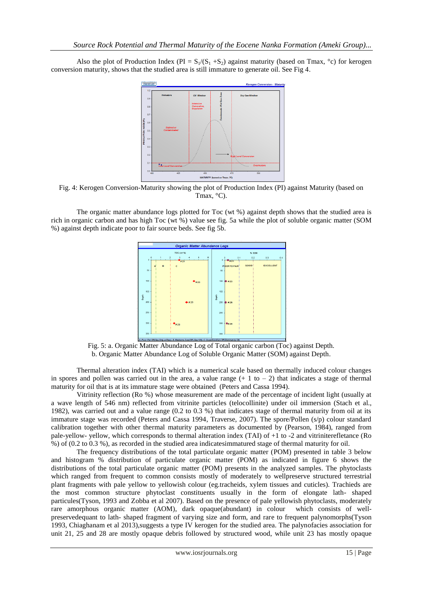Also the plot of Production Index (PI =  $S_1/(S_1 + S_2)$  against maturity (based on Tmax, °c) for kerogen conversion maturity, shows that the studied area is still immature to generate oil. See Fig 4.



Fig. 4: Kerogen Conversion-Maturity showing the plot of Production Index (PI) against Maturity (based on Tmax, °C).

The organic matter abundance logs plotted for Toc (wt %) against depth shows that the studied area is rich in organic carbon and has high Toc (wt %) value see fig. 5a while the plot of soluble organic matter (SOM %) against depth indicate poor to fair source beds. See fig 5b.



Fig. 5: a. Organic Matter Abundance Log of Total organic carbon (Toc) against Depth. b. Organic Matter Abundance Log of Soluble Organic Matter (SOM) against Depth.

Thermal alteration index (TAI) which is a numerical scale based on thermally induced colour changes in spores and pollen was carried out in the area, a value range  $(+ 1 \text{ to } -2)$  that indicates a stage of thermal maturity for oil that is at its immature stage were obtained (Peters and Cassa 1994).

Vitrinity reflection (Ro %) whose measurement are made of the percentage of incident light (usually at a wave length of 546 nm) reflected from vitrinite particles (telocollinite) under oil immersion (Stach et al., 1982), was carried out and a value range (0.2 to 0.3 %) that indicates stage of thermal maturity from oil at its immature stage was recorded (Peters and Cassa 1994, Traverse, 2007). The spore/Pollen (s/p) colour standard calibration together with other thermal maturity parameters as documented by (Pearson, 1984), ranged from pale-yellow- yellow, which corresponds to thermal alteration index (TAI) of +1 to -2 and vitriniterefletance (Ro %) of (0.2 to 0.3 %), as recorded in the studied area indicatesimmatured stage of thermal maturity for oil.

The frequency distributions of the total particulate organic matter (POM) presented in table 3 below and histogram % distribution of particulate organic matter (POM) as indicated in figure 6 shows the distributions of the total particulate organic matter (POM) presents in the analyzed samples. The phytoclasts which ranged from frequent to common consists mostly of moderately to wellpreserve structured terrestrial plant fragments with pale yellow to yellowish colour (eg.tracheids, xylem tissues and cuticles). Trachieds are the most common structure phytoclast constituents usually in the form of elongate lath- shaped particules(Tyson, 1993 and Zobba et al 2007). Based on the presence of pale yellowish phytoclasts, moderately rare amorphous organic matter (AOM), dark opaque(abundant) in colour which consists of wellpreservedequant to lath- shaped fragment of varying size and form, and rare to frequent palynomorphs(Tyson 1993, Chiaghanam et al 2013),suggests a type IV kerogen for the studied area. The palynofacies association for unit 21, 25 and 28 are mostly opaque debris followed by structured wood, while unit 23 has mostly opaque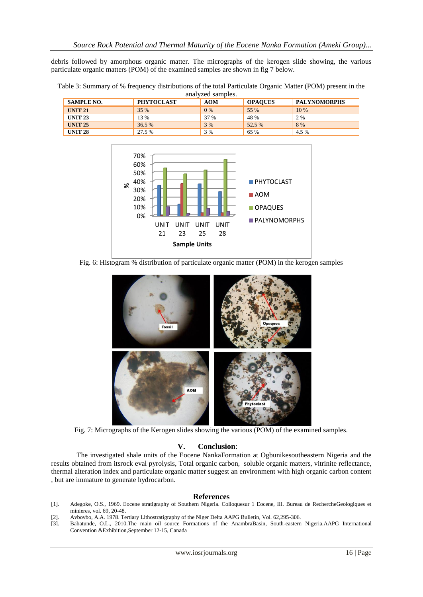debris followed by amorphous organic matter. The micrographs of the kerogen slide showing, the various particulate organic matters (POM) of the examined samples are shown in fig 7 below.

| analyzed samples. |                   |            |                |                     |  |  |
|-------------------|-------------------|------------|----------------|---------------------|--|--|
| <b>SAMPLE NO.</b> | <b>PHYTOCLAST</b> | <b>AOM</b> | <b>OPAQUES</b> | <b>PALYNOMORPHS</b> |  |  |
| <b>UNIT 21</b>    | 35 %              | $0\%$      | 55 %           | 10 %                |  |  |
| <b>UNIT 23</b>    | 13 %              | 37 %       | 48 %           | 2 %                 |  |  |
| <b>UNIT 25</b>    | 36.5 %            | 3 %        | 52.5 %         | 8 %                 |  |  |
| <b>UNIT 28</b>    | 27.5 %            | 3 %        | 65 %           | 4.5 %               |  |  |

Table 3: Summary of % frequency distributions of the total Particulate Organic Matter (POM) present in the



Fig. 6: Histogram % distribution of particulate organic matter (POM) in the kerogen samples



Fig. 7: Micrographs of the Kerogen slides showing the various (POM) of the examined samples.

#### **V. Conclusion**:

The investigated shale units of the Eocene NankaFormation at Ogbunikesoutheastern Nigeria and the results obtained from itsrock eval pyrolysis, Total organic carbon, soluble organic matters, vitrinite reflectance, thermal alteration index and particulate organic matter suggest an environment with high organic carbon content , but are immature to generate hydrocarbon.

#### **References**

- [1]. Adegoke, O.S., 1969. Eocene stratigraphy of Southern Nigeria. Colloquesur 1 Eocene, III. Bureau de RechercheGeologiques et minieres, vol. 69, 20-48.
- [2]. Avbovbo, A.A. 1978. Tertiary Lithostratigraphy of the Niger Delta AAPG Bulletin, Vol. 62,295-306.
- [3]. Babatunde, O.L., 2010.The main oil source Formations of the AnambraBasin, South-eastern Nigeria.AAPG International Convention &Exhibition,September 12-15, Canada